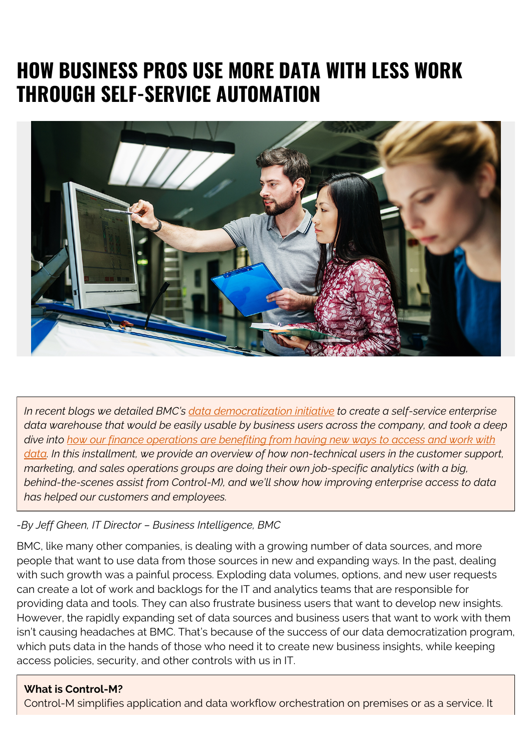# **HOW BUSINESS PROS USE MORE DATA WITH LESS WORK THROUGH SELF-SERVICE AUTOMATION**



*In recent blogs we detailed BMC's [data democratization initiative](https://blogs.bmc.com/blogs/data-democratization/) to create a self-service enterprise data warehouse that would be easily usable by business users across the company, and took a deep dive into [how our finance operations are benefiting from having new ways to access and work with](https://blogs.bmc.com/blogs/data-access-and-automation-help-finance/) [data](https://blogs.bmc.com/blogs/data-access-and-automation-help-finance/). In this installment, we provide an overview of how non-technical users in the customer support, marketing, and sales operations groups are doing their own job-specific analytics (with a big, behind-the-scenes assist from Control-M), and we'll show how improving enterprise access to data has helped our customers and employees.*

#### *-By Jeff Gheen, IT Director – Business Intelligence, BMC*

BMC, like many other companies, is dealing with a growing number of data sources, and more people that want to use data from those sources in new and expanding ways. In the past, dealing with such growth was a painful process. Exploding data volumes, options, and new user requests can create a lot of work and backlogs for the IT and analytics teams that are responsible for providing data and tools. They can also frustrate business users that want to develop new insights. However, the rapidly expanding set of data sources and business users that want to work with them isn't causing headaches at BMC. That's because of the success of our data democratization program, which puts data in the hands of those who need it to create new business insights, while keeping access policies, security, and other controls with us in IT.

#### **What is Control-M?**

Control-M simplifies application and data workflow orchestration on premises or as a service. It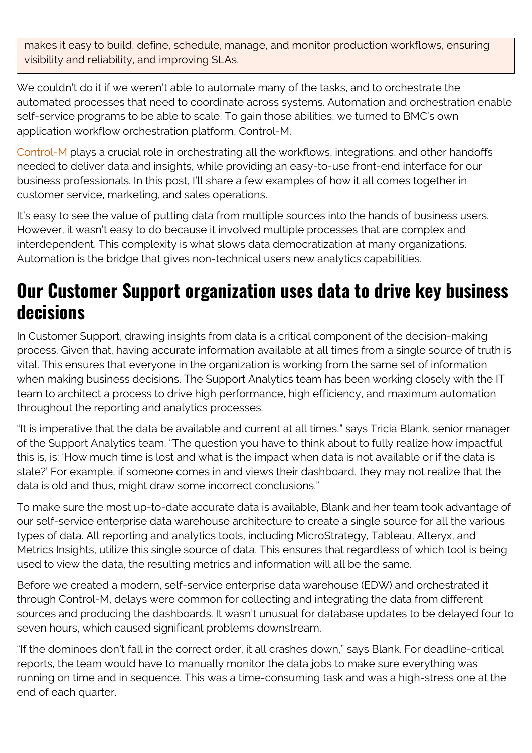makes it easy to build, define, schedule, manage, and monitor production workflows, ensuring visibility and reliability, and improving SLAs.

We couldn't do it if we weren't able to automate many of the tasks, and to orchestrate the automated processes that need to coordinate across systems. Automation and orchestration enable self-service programs to be able to scale. To gain those abilities, we turned to BMC's own application workflow orchestration platform, Control-M.

[Control-M](https://blogs.bmc.com/control-m) plays a crucial role in orchestrating all the workflows, integrations, and other handoffs needed to deliver data and insights, while providing an easy-to-use front-end interface for our business professionals. In this post, I'll share a few examples of how it all comes together in customer service, marketing, and sales operations.

It's easy to see the value of putting data from multiple sources into the hands of business users. However, it wasn't easy to do because it involved multiple processes that are complex and interdependent. This complexity is what slows data democratization at many organizations. Automation is the bridge that gives non-technical users new analytics capabilities.

### **Our Customer Support organization uses data to drive key business decisions**

In Customer Support, drawing insights from data is a critical component of the decision-making process. Given that, having accurate information available at all times from a single source of truth is vital. This ensures that everyone in the organization is working from the same set of information when making business decisions. The Support Analytics team has been working closely with the IT team to architect a process to drive high performance, high efficiency, and maximum automation throughout the reporting and analytics processes.

"It is imperative that the data be available and current at all times," says Tricia Blank, senior manager of the Support Analytics team. "The question you have to think about to fully realize how impactful this is, is: 'How much time is lost and what is the impact when data is not available or if the data is stale?' For example, if someone comes in and views their dashboard, they may not realize that the data is old and thus, might draw some incorrect conclusions."

To make sure the most up-to-date accurate data is available, Blank and her team took advantage of our self-service enterprise data warehouse architecture to create a single source for all the various types of data. All reporting and analytics tools, including MicroStrategy, Tableau, Alteryx, and Metrics Insights, utilize this single source of data. This ensures that regardless of which tool is being used to view the data, the resulting metrics and information will all be the same.

Before we created a modern, self-service enterprise data warehouse (EDW) and orchestrated it through Control-M, delays were common for collecting and integrating the data from different sources and producing the dashboards. It wasn't unusual for database updates to be delayed four to seven hours, which caused significant problems downstream.

"If the dominoes don't fall in the correct order, it all crashes down," says Blank. For deadline-critical reports, the team would have to manually monitor the data jobs to make sure everything was running on time and in sequence. This was a time-consuming task and was a high-stress one at the end of each quarter.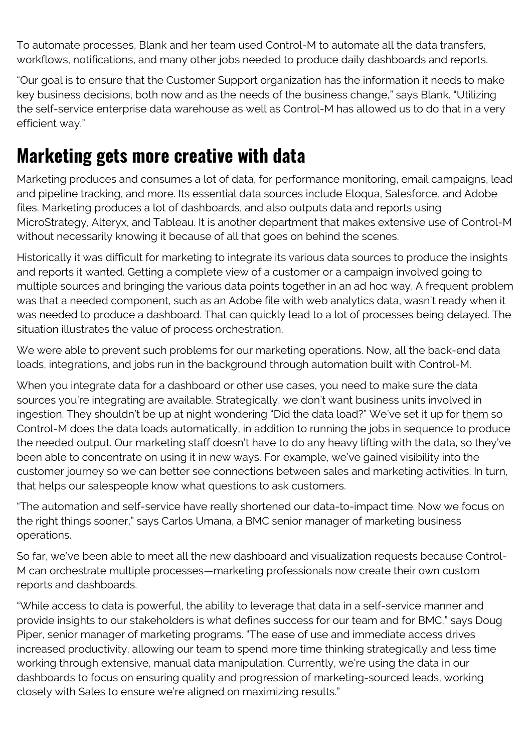To automate processes, Blank and her team used Control-M to automate all the data transfers, workflows, notifications, and many other jobs needed to produce daily dashboards and reports.

"Our goal is to ensure that the Customer Support organization has the information it needs to make key business decisions, both now and as the needs of the business change," says Blank. "Utilizing the self-service enterprise data warehouse as well as Control-M has allowed us to do that in a very efficient way."

### **Marketing gets more creative with data**

Marketing produces and consumes a lot of data, for performance monitoring, email campaigns, lead and pipeline tracking, and more. Its essential data sources include Eloqua, Salesforce, and Adobe files. Marketing produces a lot of dashboards, and also outputs data and reports using MicroStrategy, Alteryx, and Tableau. It is another department that makes extensive use of Control-M without necessarily knowing it because of all that goes on behind the scenes.

Historically it was difficult for marketing to integrate its various data sources to produce the insights and reports it wanted. Getting a complete view of a customer or a campaign involved going to multiple sources and bringing the various data points together in an ad hoc way. A frequent problem was that a needed component, such as an Adobe file with web analytics data, wasn't ready when it was needed to produce a dashboard. That can quickly lead to a lot of processes being delayed. The situation illustrates the value of process orchestration.

We were able to prevent such problems for our marketing operations. Now, all the back-end data loads, integrations, and jobs run in the background through automation built with Control-M.

When you integrate data for a dashboard or other use cases, you need to make sure the data sources you're integrating are available. Strategically, we don't want business units involved in ingestion. They shouldn't be up at night wondering "Did the data load?" We've set it up for them so Control-M does the data loads automatically, in addition to running the jobs in sequence to produce the needed output. Our marketing staff doesn't have to do any heavy lifting with the data, so they've been able to concentrate on using it in new ways. For example, we've gained visibility into the customer journey so we can better see connections between sales and marketing activities. In turn, that helps our salespeople know what questions to ask customers.

"The automation and self-service have really shortened our data-to-impact time. Now we focus on the right things sooner," says Carlos Umana, a BMC senior manager of marketing business operations.

So far, we've been able to meet all the new dashboard and visualization requests because Control-M can orchestrate multiple processes—marketing professionals now create their own custom reports and dashboards.

"While access to data is powerful, the ability to leverage that data in a self-service manner and provide insights to our stakeholders is what defines success for our team and for BMC," says Doug Piper, senior manager of marketing programs. "The ease of use and immediate access drives increased productivity, allowing our team to spend more time thinking strategically and less time working through extensive, manual data manipulation. Currently, we're using the data in our dashboards to focus on ensuring quality and progression of marketing-sourced leads, working closely with Sales to ensure we're aligned on maximizing results."